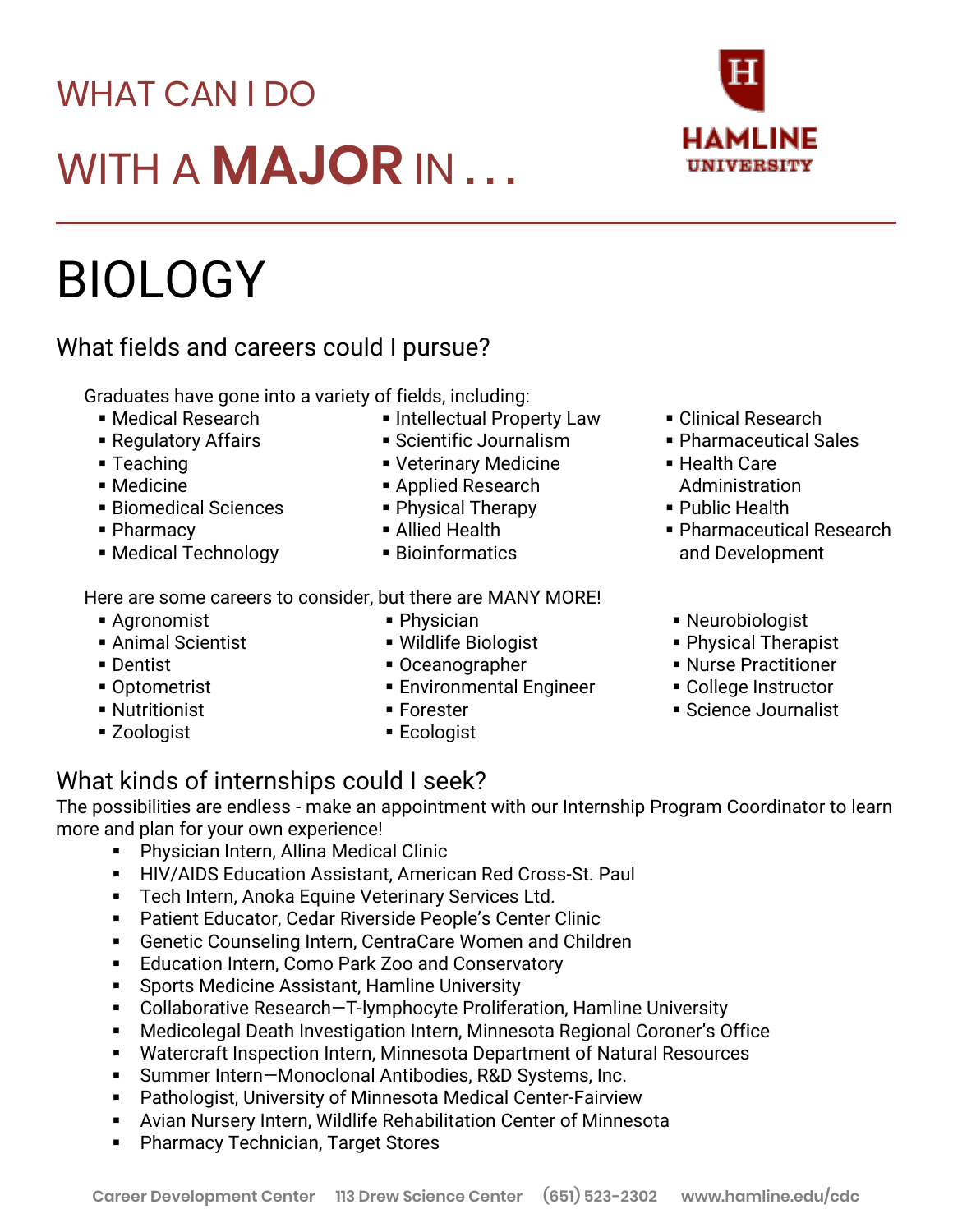#### **Career Development Center 113 Drew Science Center (651) 523-2302 www.hamline.edu/cdc**

# WHAT CAN I DO WITH A **MAJOR** IN . . .

# BIOLOGY

### What fields and careers could I pursue?

Graduates have gone into a variety of fields, including:

- Medical Research
- Regulatory Affairs
- Teaching
- Medicine
- Biomedical Sciences
- Pharmacy
- Medical Technology
- **.** Intellectual Property Law
- Scientific Journalism
- **Veterinary Medicine**
- Applied Research
- Physical Therapy
- Allied Health
- Bioinformatics

Here are some careers to consider, but there are MANY MORE!

- Agronomist
- **Animal Scientist**
- Dentist
- Optometrist
- **Nutritionist**
- Zoologist
- Physician
- Wildlife Biologist
- Oceanographer
- **Environmental Engineer**
- Forester
- Ecologist

#### ■ Clinical Research

- Pharmaceutical Sales
- Health Care Administration
- Public Health
- Pharmaceutical Research and Development
- Neurobiologist
- Physical Therapist
- Nurse Practitioner
- College Instructor
- Science Journalist

## What kinds of internships could I seek?

The possibilities are endless - make an appointment with our Internship Program Coordinator to learn more and plan for your own experience!

- Physician Intern, Allina Medical Clinic
- **E** HIV/AIDS Education Assistant, American Red Cross-St. Paul
- **E** Tech Intern, Anoka Equine Veterinary Services Ltd.
- Patient Educator, Cedar Riverside People's Center Clinic
- Genetic Counseling Intern, CentraCare Women and Children
- Education Intern, Como Park Zoo and Conservatory
- Sports Medicine Assistant, Hamline University
- Collaborative Research-T-lymphocyte Proliferation, Hamline University
- Medicolegal Death Investigation Intern, Minnesota Regional Coroner's Office
- Watercraft Inspection Intern, Minnesota Department of Natural Resources
- Summer Intern-Monoclonal Antibodies, R&D Systems, Inc.
- Pathologist, University of Minnesota Medical Center-Fairview
- **E** Avian Nursery Intern, Wildlife Rehabilitation Center of Minnesota
- **Pharmacy Technician, Target Stores**